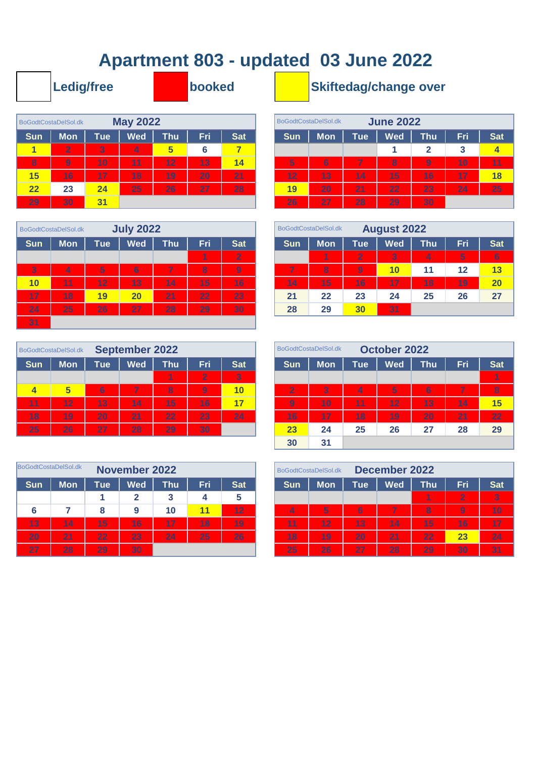## **Apartment 803 - updated 03 June 2022**

|                         | Ledig/free           |                |                 |            | booked |            |            |                      |            | <b>Skiftedag/change ov</b> |              |
|-------------------------|----------------------|----------------|-----------------|------------|--------|------------|------------|----------------------|------------|----------------------------|--------------|
|                         | BoGodtCostaDelSol.dk |                | <b>May 2022</b> |            |        |            |            | BoGodtCostaDelSol.dk |            | <b>June 2022</b>           |              |
| <b>Sun</b>              | <b>Mon</b>           | <b>Tue</b>     | <b>Wed</b>      | <b>Thu</b> | Fri    | <b>Sat</b> | <b>Sun</b> | <b>Mon</b>           | <b>Tue</b> | <b>Wed</b>                 | Th           |
|                         | $\overline{2}$       | $\overline{3}$ | 4               | 5          | 6      | 7          |            |                      |            |                            | $\mathbf{2}$ |
| $\overline{\mathbf{8}}$ | 9                    | 10             | 11              | 12         | 13     | 14         | 5          | 6                    | 7          | 8                          | 9            |
| 15                      | 16                   | 17             | 18              | 19         | 20     | 21         | 12         | 13                   | 14         | 15                         | 16           |
| 22                      | 23                   | 24             | 25              | 26         | 27     | 28         | 19         | 20                   | 21         | 22                         | 23           |
| 29                      | 30                   | 31             |                 |            |        |            | 26         | 27                   | 28         | 29                         | 30           |

|                | BoGodtCostaDelSol.dk |            | <b>July 2022</b> |                 |     |                |            | BoGodtCostaDelSol.dk |                  | <b>August 2022</b> |            |     |            |
|----------------|----------------------|------------|------------------|-----------------|-----|----------------|------------|----------------------|------------------|--------------------|------------|-----|------------|
| <b>Sun</b>     | <b>Mon</b>           | <b>Tue</b> | <b>Wed</b>       | <b>Thu</b>      | Fri | <b>Sat</b>     | <b>Sun</b> | <b>Mon</b>           | Tue <sup>'</sup> | <b>Wed</b>         | <b>Thu</b> | Fri | <b>Sat</b> |
|                |                      |            |                  |                 | 1   | $\overline{2}$ |            | 1                    | $\overline{2}$   | 3                  | 4          | 5   | 6          |
| $\overline{3}$ | 4                    | 5          | 6                | 7               | 8   | 9              | 7          | 8                    | $\overline{9}$   | 10                 | 11         | 12  | 13         |
| 10             | 11                   | 12         | 13               | $\overline{14}$ | 15  | 16             | 14         | 15                   | 16               | 17                 | 18         | 19  | 20         |
| 17             | 18                   | 19         | 20               | 21              | 22  | 23             | 21         | 22                   | 23               | 24                 | 25         | 26  | 27         |
| 24             | 25                   | 26         | 27               | 28              | 29  | 30             | 28         | 29                   | 30               | 31                 |            |     |            |
| 31             |                      |            |                  |                 |     |                |            |                      |                  |                    |            |     |            |

| BoGodtCostaDelSol.dk |                 |            | <b>September 2022</b> |     |                |                 |                | BoGodtCostaDelSol.dk |            | <b>October 2022</b> |                |     |            |
|----------------------|-----------------|------------|-----------------------|-----|----------------|-----------------|----------------|----------------------|------------|---------------------|----------------|-----|------------|
| <b>Sun</b>           | <b>Mon</b>      | <b>Tue</b> | <b>Wed</b>            | Thu | Fri            | Sat             | <b>Sun</b>     | <b>Mon</b>           | <b>Tue</b> | <b>Wed</b>          | <b>Thu</b>     | Fri | <b>Sat</b> |
|                      |                 |            |                       |     | $\overline{2}$ | $\overline{3}$  |                |                      |            |                     |                |     | 1          |
| 4                    | 5               | 6          | 7                     | 8   | 9              | 10              | $\overline{2}$ | 3                    | 4          | $5^{\circ}$         | $6\phantom{1}$ | 7   | 8          |
| 11                   | 12              | 13         | 14                    | 15  | 16'            | 17              | 9              | 10                   | 11         | 12                  | 13             | 14  | 15         |
| 18                   | 19              | 20         | 21                    | 22  | 23             | $\overline{24}$ | 16             | 17                   | 18         | 19                  | 20             | 21  | 22         |
| 25                   | $\overline{26}$ | 27         | 28                    | 29  | 30             |                 | 23             | 24                   | 25         | 26                  | 27             | 28  | 29         |

|                 | BoGodtCostaDelSol.dk<br><b>November 2022</b><br>Fri<br><b>Mon</b><br>Wed<br>Thu<br><b>Sun</b><br><b>Tue</b><br>2<br>3<br>11<br>8 |    |    |    |    |                 |  |  |
|-----------------|----------------------------------------------------------------------------------------------------------------------------------|----|----|----|----|-----------------|--|--|
|                 |                                                                                                                                  |    |    |    |    | <b>Sat</b>      |  |  |
|                 |                                                                                                                                  |    |    |    |    | 5               |  |  |
| 6               |                                                                                                                                  |    | 9  | 10 |    | 12 <sub>2</sub> |  |  |
| $\overline{1}3$ | 14                                                                                                                               | 15 | 16 | 17 | 18 | 19              |  |  |
| 20              | 21                                                                                                                               | 22 | 23 | 24 | 25 | 26              |  |  |
| 27              | 28                                                                                                                               | 29 | 30 |    |    |                 |  |  |

## **Skiftedag/change over**

|     | GodtCostaDelSol.dk |            | <b>May 2022</b> |            |     |            |            | BoGodtCostaDelSol.dk |            | <b>June 2022</b> |                |     |            |
|-----|--------------------|------------|-----------------|------------|-----|------------|------------|----------------------|------------|------------------|----------------|-----|------------|
| Sun | <b>Mon</b>         | <b>Tue</b> | <b>Wed</b>      | <b>Thu</b> | Fri | <b>Sat</b> | <b>Sun</b> | <b>Mon</b>           | <b>Tue</b> | <b>Wed</b>       | <b>Thu</b>     | Fri | <b>Sat</b> |
|     | $\overline{2}$     | 3          | 4               | 5          | 6   | 7          |            |                      |            |                  | 2              | 3   |            |
| 8   | $\overline{9}$     | 10         | 11              | 12         | 13  | 14         | 5          | 6                    | 7          | 8                | $\overline{9}$ | 10  | 11         |
| 15  | 16                 | 17         | 18              | 19         | 20  | 21         | 12         | 13                   | 14         | 15               | 16'            | 17  | 18         |
| 22  | 23                 | 24         | 25              | 26         | 27  | 28         | 19         | 20                   | 21         | 22               | 23             | 24  | 25         |
| 29  | 30                 | 31         |                 |            |     |            | 26         | 27                   | 28         | 29               | 30             |     |            |

|                | <b>BodtCostaDelSol.dk</b> |            | <b>July 2022</b> |      |     |                |                 | BoGodtCostaDelSol.dk |                | <b>August 2022</b> |            |            |            |
|----------------|---------------------------|------------|------------------|------|-----|----------------|-----------------|----------------------|----------------|--------------------|------------|------------|------------|
| չսո            | Mon                       | <b>Tue</b> | <b>Wed</b>       | Thuˈ | Fri | <b>Sat</b>     | <b>Sun</b>      | <b>Mon</b>           | <b>Tue</b>     | <b>Wed</b>         | <b>Thu</b> | <b>Fri</b> | <b>Sat</b> |
|                |                           |            |                  |      | 1   | $\overline{2}$ |                 | 1                    | 2'             | 3                  | 4          | 5          | 6          |
| 3 <sub>l</sub> | 4                         | 5          | $6\phantom{1}$   | 7    | 8   | 9              | 7               | 8                    | $\overline{9}$ | 10                 | 11         | 12         | 13         |
| 10             | 11                        | 12         | 13               | 14   | 15  | 16             | $\overline{14}$ | 15                   | 16             | 17                 | 18         | 19         | 20         |
| 17             | 18                        | 19         | 20               | 21   | 22  | 23             | 21              | 22                   | 23             | 24                 | 25         | 26         | 27         |
| 24             | 25                        | 26'        | 27               | 28   | 29  | 30             | 28              | 29                   | 30             | 31                 |            |            |            |

|                | BodtCostaDelSol.dk |                      | <b>September 2022</b> |                 |                |                | BoGodtCostaDelSol.dk |                |            | <b>October 2022</b> |            |            |            |
|----------------|--------------------|----------------------|-----------------------|-----------------|----------------|----------------|----------------------|----------------|------------|---------------------|------------|------------|------------|
| չսո            | <b>Mon</b>         | <b>Tue</b>           | <b>Wed</b>            | Thu             | Fri            | <b>Sat</b>     | <b>Sun</b>           | <b>Mon</b>     | <b>Tue</b> | <b>Wed</b>          | <b>Thu</b> | <b>Fri</b> | <b>Sat</b> |
|                |                    |                      |                       | 1               | $\overline{2}$ | $\overline{3}$ |                      |                |            |                     |            |            | 1          |
| $\overline{4}$ | 5                  | 6                    | 7                     | 8               | 9              | 10             | $\overline{2}$       | $\overline{3}$ | 4          | 5                   | 6          | 7          | $\bf{8}$   |
| 11             | 12                 | 13                   | 14                    | $\overline{15}$ | 16             | 17             | 9                    | 10             | 11         | 12                  | 13         | 14         | 15         |
| 18             | 19                 | 20                   | 21                    | 22              | 23             | 24             | $\overline{16}$      | 17             | 18         | 19                  | 20         | 21         | 22         |
| 25             | 26                 | 27<br>28<br>29<br>30 |                       |                 |                |                | 23                   | 24             | 25         | 26                  | 27         | 28         | 29         |
|                |                    |                      |                       |                 |                |                | 30                   | 31             |            |                     |            |            |            |

|     | iodtCostaDelSol.dk |     | <b>November 2022</b> |     |      |            |            | BoGodtCostaDelSol.dk |            | <b>December 2022</b> |            |                |                |
|-----|--------------------|-----|----------------------|-----|------|------------|------------|----------------------|------------|----------------------|------------|----------------|----------------|
| չսո | <b>Mon</b>         | Tue | <b>Wed</b>           | Thu | Fri, | <b>Sat</b> | <b>Sun</b> | <b>Mon</b>           | <b>Tue</b> | <b>Wed</b>           | <b>Thu</b> | Fri            | <b>Sat</b>     |
|     |                    |     |                      |     | 4    | 5          |            |                      |            |                      | 1          | $\overline{2}$ | $\overline{3}$ |
| 6   |                    | 8   | 9                    | 10  | 11   | 12         | 4          | 5                    | 6          | 7                    | 8          | $\overline{9}$ | 10             |
| 13  | 14                 | 15  | 16                   | 17  | 18   | 19         | 11         | 12                   | 13         | 14                   | 15         | 16             | 17             |
| 20  | 21                 | 22  | 23                   | 24  | 25   | 26         | 18         | 19                   | 20         | 21                   | 22         | 23             | 24             |
| 27  | 28                 | 29  | 30                   |     |      |            | 25         | $\overline{26}$      | 27         | 28                   | 29         | 30             | 31             |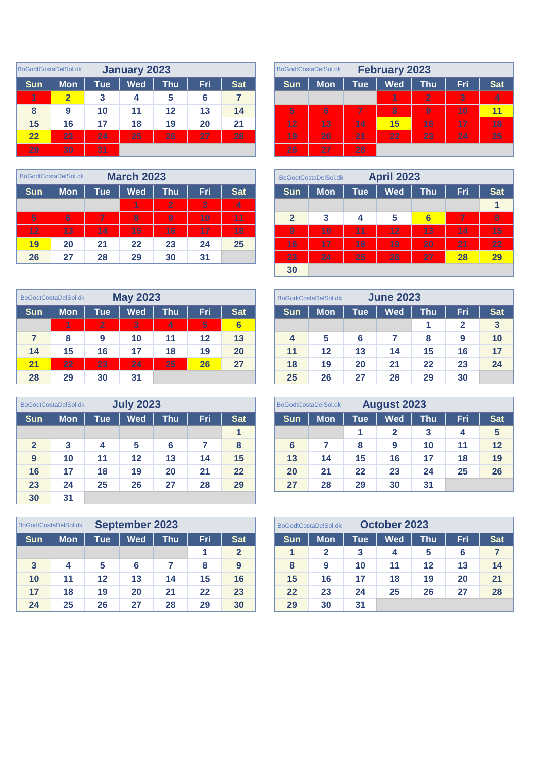|            | BoGodtCostaDelSol.dk |                  | January 2023 |     |     |            |            | BoGodtCostaDelSol.dk |     | <b>February 2023</b>    |                |     |            |
|------------|----------------------|------------------|--------------|-----|-----|------------|------------|----------------------|-----|-------------------------|----------------|-----|------------|
| <b>Sun</b> | <b>Mon</b>           | $\mathsf{Tue}^!$ | <b>Wed</b>   | Thu | Fri | <b>Sat</b> | <b>Sun</b> | <b>Mon</b>           | Tue | <b>Wed</b>              | <b>Thu</b>     | Fri | <b>Sat</b> |
| 1          | $\overline{2}$       | 3                | 4            | 5   | 6   |            |            |                      |     | 1                       | $\overline{2}$ | 3   | 4          |
| 8          | 9                    | 10               | 11           | 12  | 13  | 14         | 5          | 6                    | 7   | $\overline{\mathbf{8}}$ | 9              | 10  | 11         |
| 15         | 16                   | 17               | 18           | 19  | 20  | 21         | 12         | 13                   | 14  | 15                      | 16             | 17  | 18         |
| 22         | 23                   | 24               | 25           | 26  | 27  | 28         | 19         | 20                   | 21  | 22                      | 23             | 24  | 25         |
| 29         | 30                   | 31               |              |     |     |            | 26         | 27                   | 28  |                         |                |     |            |

|            | BoGodtCostaDelSol.dk |     | <b>March 2023</b> |                |            |            |            | BoGodtCostaDelSol.dk |                  | <b>April 2023</b> |  |
|------------|----------------------|-----|-------------------|----------------|------------|------------|------------|----------------------|------------------|-------------------|--|
| <b>Sun</b> | <b>Mon</b>           | Tue | <b>Wed</b>        | Thu            | <b>Fri</b> | <b>Sat</b> | <b>Sun</b> | <b>Mon</b>           | Tue <sup>l</sup> | Wed               |  |
|            |                      |     |                   | $\overline{2}$ | 3          | 4          |            |                      |                  |                   |  |
| 5          | 6                    | 7   | 8                 | $\overline{9}$ | 10         | 11         | 2          | 3                    | 4                | 5                 |  |
| 12         | 13                   | 14  | 15                | 16             | 17         | 18         | 9          | 10                   | 11               | 12                |  |
| 19         | 20                   | 21  | 22                | 23             | 24         | 25         | 16         | 17                   | 18               | 19                |  |
| 26         | 27                   | 28  | 29                | 30             | 31         |            | 23         | 24                   | 25               | 26                |  |

|            | BoGodtCostaDelSol.dk |                | <b>May 2023</b> |     |     |                 |                    | BoGodtCostaDelSol.dk |                  | <b>June 2023</b> |     |     |              |
|------------|----------------------|----------------|-----------------|-----|-----|-----------------|--------------------|----------------------|------------------|------------------|-----|-----|--------------|
| <b>Sun</b> | <b>Mon</b>           | Tueˈ           | <b>Wed</b>      | Thu | Fri | <b>Sat</b>      | <b>Sun</b>         | <b>Mon</b>           | Tue <sup>l</sup> | <b>Wed</b>       | Thu | Fri | <b>Sat</b>   |
|            | 4                    | $\overline{2}$ | 3               | 4   | 5   | $6\phantom{1}6$ |                    |                      |                  |                  |     | 2   | $\mathbf{3}$ |
| 7          | 8                    | 9              | 10              | 11  | 12  | 13              | $\overline{\bf 4}$ | 5                    | 6                |                  | 8   | 9   | 10           |
| 14         | 15                   | 16             | 17              | 18  | 19  | 20              | 11                 | 12                   | 13               | 14               | 15  | 16  | 17           |
| 21         | 22                   | 23             | 24              | 25  | 26  | 27              | 18                 | 19                   | 20               | 21               | 22  | 23  | 24           |
| 28         | 29                   | 30             | 31              |     |     |                 | 25                 | 26                   | 27               | 28               | 29  | 30  |              |

|                | BoGodtCostaDelSol.dk |     | <b>July 2023</b> |            |     |            |                | BoGodtCostaDelSol.dk |            | <b>August 2023</b> |            |            |            |
|----------------|----------------------|-----|------------------|------------|-----|------------|----------------|----------------------|------------|--------------------|------------|------------|------------|
| <b>Sun</b>     | <b>Mon</b>           | Tue | <b>Wed</b>       | <b>Thu</b> | Fri | <b>Sat</b> | <b>Sun</b>     | <b>Mon</b>           | <b>Tue</b> | <b>Wed</b>         | <b>Thu</b> | <b>Fri</b> | <b>Sat</b> |
|                |                      |     |                  |            |     | 1          |                |                      |            | 2                  | 3          | 4          | $\sqrt{5}$ |
| $\overline{2}$ | 3                    | 4   | 5                | 6          |     | 8          | $6\phantom{1}$ |                      | 8          | 9                  | 10         | 11         | 12         |
| 9              | 10                   | 11  | 12               | 13         | 14  | 15         | 13             | 14                   | 15         | 16                 | 17         | 18         | 19         |
| 16             | 17                   | 18  | 19               | 20         | 21  | 22         | 20             | 21                   | 22         | 23                 | 24         | 25         | 26         |
| 23             | 24                   | 25  | 26               | 27         | 28  | 29         | 27             | 28                   | 29         | 30                 | 31         |            |            |
| 30             | 31                   |     |                  |            |     |            |                |                      |            |                    |            |            |            |

|              | <b>September 2023</b><br>BoGodtCostaDelSol.dk |                  |            |     |     |                |            | BoGodtCostaDelSol.dk | October 2023 |            |                  |     |            |
|--------------|-----------------------------------------------|------------------|------------|-----|-----|----------------|------------|----------------------|--------------|------------|------------------|-----|------------|
| <b>Sun</b>   | <b>Mon</b>                                    | $\mathsf{Tue}^!$ | <b>Wed</b> | Thu | Fri | <b>Sat</b>     | <b>Sun</b> | <b>Mon</b>           | Tueˈ         | <b>Wed</b> | Thu <sup>1</sup> | Fri | <b>Sat</b> |
|              |                                               |                  |            |     |     | $\overline{2}$ |            |                      |              | 4          | 5                | 6   |            |
| $\mathbf{3}$ | 4                                             | 5                | 6          |     | 8   | 9              | 8          | 9                    | 10           | 11         | 12               | 13  | 14         |
| 10           | 11                                            | $12 \,$          | 13         | 14  | 15  | 16             | 15         | 16                   | 17           | 18         | 19               | 20  | 21         |
| 17           | 18                                            | 19               | 20         | 21  | 22  | 23             | 22         | 23                   | 24           | 25         | 26               | 27  | 28         |
| 24           | 25                                            | 26               | 27         | 28  | 29  | 30             | 29         | 30                   | 31           |            |                  |     |            |

|                      | iodtCostaDelSol.dk |                  | January 2023 |            |     |            | <b>February 2023</b><br>BoGodtCostaDelSol.dk |            |            |            |                 |     |            |  |  |
|----------------------|--------------------|------------------|--------------|------------|-----|------------|----------------------------------------------|------------|------------|------------|-----------------|-----|------------|--|--|
| չսո                  | <b>Mon</b>         | Tue <sup>l</sup> | <b>Wed</b>   | <b>Thu</b> | Fri | <b>Sat</b> | <b>Sun</b>                                   | <b>Mon</b> | <b>Tue</b> | <b>Wed</b> | Thu             | Fri | <b>Sat</b> |  |  |
| $\blacktriangleleft$ |                    | 3                | 4            | 5          | 6   |            |                                              |            |            |            | $\overline{2}$  | 3   | $\vert$ 4  |  |  |
| 8                    | 9                  | 10               | 11           | 12         | 13  | 14         | $5\phantom{.0}$                              | 6          | 7          | 8          | 9               | 10  | 11         |  |  |
| 15                   | 16                 | 17               | 18           | 19         | 20  | 21         | 12                                           | 13         | 14         | 15         | 16              | 17  | 18         |  |  |
| $\overline{22}$      | 23                 | $\overline{24}$  | 25           | 26         | 27  | 28         | 19                                           | 20         | 21         | 22         | $\overline{2}3$ | 24  | 25         |  |  |
| 29                   | 30                 | 31               |              |            |     |            | 26                                           | 27         | 28         |            |                 |     |            |  |  |

|                 | <b>March 2023</b><br>GodtCostaDelSol.dk |            |                         |                 |     |            |  | BoGodtCostaDelSol.dk |            |            |            |                 |     |                         |
|-----------------|-----------------------------------------|------------|-------------------------|-----------------|-----|------------|--|----------------------|------------|------------|------------|-----------------|-----|-------------------------|
| Sun             | <b>Mon</b>                              | <b>Tue</b> | <b>Wed</b>              | <b>Thu</b>      | Fri | <b>Sat</b> |  | <b>Sun</b>           | <b>Mon</b> | <b>Tue</b> | <b>Wed</b> | <b>Thu</b>      | Fri | <b>Sat</b>              |
|                 |                                         |            | 1                       | $\overline{2}$  | 3   | 4          |  |                      |            |            |            |                 |     | 4                       |
| $5\phantom{.0}$ | 6                                       | 7          | $\overline{\mathbf{8}}$ | 9               | 10  | 11         |  | $\mathbf{2}$         | 3          | 4          | 5          | $6\phantom{1}6$ | 7   | $\overline{\mathbf{8}}$ |
| 12              | 13                                      | 14         | 15                      | $\overline{16}$ | 17  | 18         |  | $\overline{9}$       | 10         | 11         | 12         | 13              | 14  | 15                      |
| <b>19</b>       | 20                                      | 21         | 22                      | 23              | 24  | 25         |  | $\overline{16}$      | 17         | 18         | 19         | 20              | 21  | 22                      |
| 26              | 27                                      | 28         | 29                      | 30              | 31  |            |  | 23                   | 24         | 25         | 26         | 27              | 28  | 29                      |
|                 |                                         |            |                         |                 |     |            |  | 30                   |            |            |            |                 |     |                         |

|    | iodtCostaDelSol.dk |                | <b>May 2023</b> |                  |            |            | BoGodtCostaDelSol.dk |            |            |            |     |     |            |
|----|--------------------|----------------|-----------------|------------------|------------|------------|----------------------|------------|------------|------------|-----|-----|------------|
| un | <b>Mon</b>         | Tue            | <b>Wed</b>      | $\mathsf{Thu}^!$ | Fri        | <b>Sat</b> | <b>Sun</b>           | <b>Mon</b> | <b>Tue</b> | <b>Wed</b> | Thu | Fri | <b>Sat</b> |
|    | 1                  | $\overline{2}$ | 3               | 4                | $\sqrt{5}$ | 6          |                      |            |            |            |     |     | 3          |
|    | 8                  | 9              | 10              | 11               | 12         | 13         | 4                    | 5          | 6          |            |     | 9   | 10         |
| 14 | 15                 | 16             | 17              | 18               | 19         | 20         | 11                   | 12         | 13         | 14         | 15  | 16  | 17         |
|    | 22                 | 23             | 24              | 25               | 26         | 27         | 18                   | 19         | 20         | 21         | 22  | 23  | 24         |
| 28 | 29                 | 30             | 31              |                  |            |            | 25                   | 26         | 27         | 28         | 29  | 30  |            |

|                | <b>July 2023</b><br>GodtCostaDelSol.dk |            |            |            |     |            |  |            | <b>August 2023</b><br><b>BoGodtCostaDelSol.dk</b> |            |            |            |     |            |  |  |
|----------------|----------------------------------------|------------|------------|------------|-----|------------|--|------------|---------------------------------------------------|------------|------------|------------|-----|------------|--|--|
| չսո            | <b>Mon</b>                             | <b>Tue</b> | <b>Wed</b> | <b>Thu</b> | Fri | <b>Sat</b> |  | <b>Sun</b> | <b>Mon</b>                                        | <b>Tue</b> | <b>Wed</b> | <b>Thu</b> | Fri | <b>Sat</b> |  |  |
|                |                                        |            |            |            |     |            |  |            |                                                   |            |            |            | 4   | 5          |  |  |
| $\overline{2}$ |                                        |            | 5          | 6          |     | 8          |  | 6          |                                                   | 8          | 9          | 10         | 11  | 12         |  |  |
| 9              | 10                                     | 11         | 12         | 13         | 14  | 15         |  | 13         | 14                                                | 15         | 16         | 17         | 18  | 19         |  |  |
| 16             | 17                                     | 18         | 19         | 20         | 21  | 22         |  | 20         | 21                                                | 22         | 23         | 24         | 25  | 26         |  |  |
| 23             | 24                                     | 25         | 26         | 27         | 28  | 29         |  | 27         | 28                                                | 29         | 30         | 31         |     |            |  |  |

|              | <b>September 2023</b><br>GodtCostaDelSol.dk |      |            |     |     |                |  | October 2023<br>BoGodtCostaDelSol.dk |            |                  |            |     |     |            |  |
|--------------|---------------------------------------------|------|------------|-----|-----|----------------|--|--------------------------------------|------------|------------------|------------|-----|-----|------------|--|
| չսո          | <b>Mon</b>                                  | Tue' | <b>Wed</b> | Thu | Fri | <b>Sat</b>     |  | <b>Sun</b>                           | <b>Mon</b> | Tue <sup>'</sup> | <b>Wed</b> | Thu | Fri | <b>Sat</b> |  |
|              |                                             |      |            |     |     | $\overline{2}$ |  |                                      |            |                  | 4          | 5   | 6   |            |  |
| $\mathbf{3}$ | 4                                           |      | 6          |     |     | 9              |  | 8                                    | 9          | 10               | 11         | 12  | 13  | 14         |  |
| 10           | 11                                          | 12   | 13         | 14  | 15  | 16             |  | 15                                   | 16         | 17               | 18         | 19  | 20  | 21         |  |
| 17           | 18                                          | 19   | 20         | 21  | 22  | 23             |  | 22                                   | 23         | 24               | 25         | 26  | 27  | 28         |  |
| 24           | 25                                          | 26   | 27         | 28  | 29  | 30             |  | 29                                   | 30         | 31               |            |     |     |            |  |